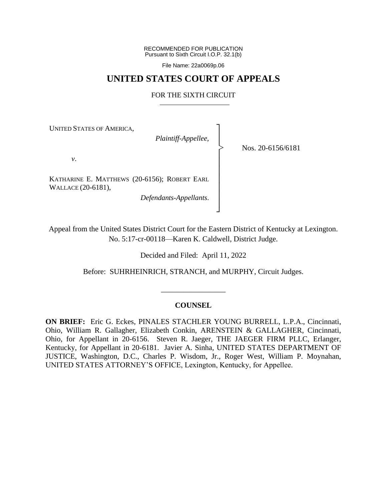RECOMMENDED FOR PUBLICATION Pursuant to Sixth Circuit I.O.P. 32.1(b)

File Name: 22a0069p.06

## **UNITED STATES COURT OF APPEALS**

## FOR THE SIXTH CIRCUIT

┐ │ │ │ │ │ │ │ │ │ ┘

|<br>|<br>|

UNITED STATES OF AMERICA,

*Plaintiff-Appellee*,

Nos. 20-6156/6181

*v*.

KATHARINE E. MATTHEWS (20-6156); ROBERT EARL WALLACE (20-6181),

*Defendants-Appellants*.

Appeal from the United States District Court for the Eastern District of Kentucky at Lexington. No. 5:17-cr-00118—Karen K. Caldwell, District Judge.

Decided and Filed: April 11, 2022

Before: SUHRHEINRICH, STRANCH, and MURPHY, Circuit Judges.

\_\_\_\_\_\_\_\_\_\_\_\_\_\_\_\_\_

## **COUNSEL**

**ON BRIEF:** Eric G. Eckes, PINALES STACHLER YOUNG BURRELL, L.P.A., Cincinnati, Ohio, William R. Gallagher, Elizabeth Conkin, ARENSTEIN & GALLAGHER, Cincinnati, Ohio, for Appellant in 20-6156. Steven R. Jaeger, THE JAEGER FIRM PLLC, Erlanger, Kentucky, for Appellant in 20-6181. Javier A. Sinha, UNITED STATES DEPARTMENT OF JUSTICE, Washington, D.C., Charles P. Wisdom, Jr., Roger West, William P. Moynahan, UNITED STATES ATTORNEY'S OFFICE, Lexington, Kentucky, for Appellee.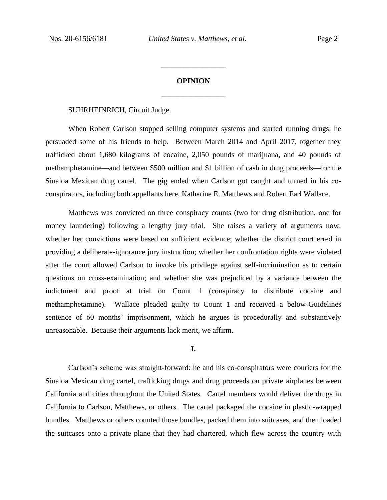# **OPINION** \_\_\_\_\_\_\_\_\_\_\_\_\_\_\_\_\_

\_\_\_\_\_\_\_\_\_\_\_\_\_\_\_\_\_

SUHRHEINRICH, Circuit Judge.

When Robert Carlson stopped selling computer systems and started running drugs, he persuaded some of his friends to help. Between March 2014 and April 2017, together they trafficked about 1,680 kilograms of cocaine, 2,050 pounds of marijuana, and 40 pounds of methamphetamine—and between \$500 million and \$1 billion of cash in drug proceeds—for the Sinaloa Mexican drug cartel. The gig ended when Carlson got caught and turned in his coconspirators, including both appellants here, Katharine E. Matthews and Robert Earl Wallace.

Matthews was convicted on three conspiracy counts (two for drug distribution, one for money laundering) following a lengthy jury trial. She raises a variety of arguments now: whether her convictions were based on sufficient evidence; whether the district court erred in providing a deliberate-ignorance jury instruction; whether her confrontation rights were violated after the court allowed Carlson to invoke his privilege against self-incrimination as to certain questions on cross-examination; and whether she was prejudiced by a variance between the indictment and proof at trial on Count 1 (conspiracy to distribute cocaine and methamphetamine). Wallace pleaded guilty to Count 1 and received a below-Guidelines sentence of 60 months' imprisonment, which he argues is procedurally and substantively unreasonable. Because their arguments lack merit, we affirm.

#### **I.**

Carlson's scheme was straight-forward: he and his co-conspirators were couriers for the Sinaloa Mexican drug cartel, trafficking drugs and drug proceeds on private airplanes between California and cities throughout the United States. Cartel members would deliver the drugs in California to Carlson, Matthews, or others. The cartel packaged the cocaine in plastic-wrapped bundles. Matthews or others counted those bundles, packed them into suitcases, and then loaded the suitcases onto a private plane that they had chartered, which flew across the country with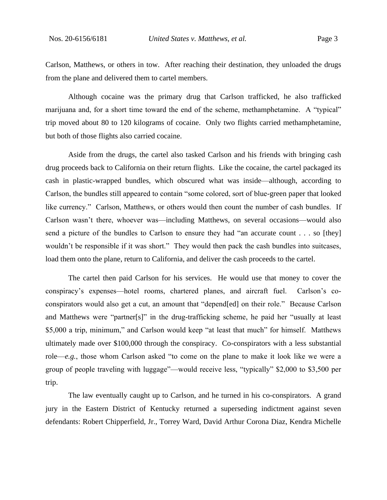Carlson, Matthews, or others in tow. After reaching their destination, they unloaded the drugs from the plane and delivered them to cartel members.

Although cocaine was the primary drug that Carlson trafficked, he also trafficked marijuana and, for a short time toward the end of the scheme, methamphetamine. A "typical" trip moved about 80 to 120 kilograms of cocaine. Only two flights carried methamphetamine, but both of those flights also carried cocaine.

Aside from the drugs, the cartel also tasked Carlson and his friends with bringing cash drug proceeds back to California on their return flights. Like the cocaine, the cartel packaged its cash in plastic-wrapped bundles, which obscured what was inside—although, according to Carlson, the bundles still appeared to contain "some colored, sort of blue-green paper that looked like currency." Carlson, Matthews, or others would then count the number of cash bundles. If Carlson wasn't there, whoever was—including Matthews, on several occasions—would also send a picture of the bundles to Carlson to ensure they had "an accurate count . . . so [they] wouldn't be responsible if it was short." They would then pack the cash bundles into suitcases, load them onto the plane, return to California, and deliver the cash proceeds to the cartel.

The cartel then paid Carlson for his services. He would use that money to cover the conspiracy's expenses—hotel rooms, chartered planes, and aircraft fuel. Carlson's coconspirators would also get a cut, an amount that "depend[ed] on their role." Because Carlson and Matthews were "partner[s]" in the drug-trafficking scheme, he paid her "usually at least \$5,000 a trip, minimum," and Carlson would keep "at least that much" for himself. Matthews ultimately made over \$100,000 through the conspiracy. Co-conspirators with a less substantial role—*e.g.*, those whom Carlson asked "to come on the plane to make it look like we were a group of people traveling with luggage"—would receive less, "typically" \$2,000 to \$3,500 per trip.

The law eventually caught up to Carlson, and he turned in his co-conspirators. A grand jury in the Eastern District of Kentucky returned a superseding indictment against seven defendants: Robert Chipperfield, Jr., Torrey Ward, David Arthur Corona Diaz, Kendra Michelle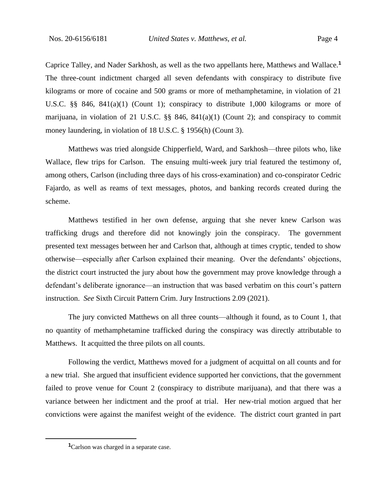Caprice Talley, and Nader Sarkhosh, as well as the two appellants here, Matthews and Wallace.**<sup>1</sup>** The three-count indictment charged all seven defendants with conspiracy to distribute five kilograms or more of cocaine and 500 grams or more of methamphetamine, in violation of 21 U.S.C. §§ 846, 841(a)(1) (Count 1); conspiracy to distribute 1,000 kilograms or more of marijuana, in violation of 21 U.S.C.  $\S$  846, 841(a)(1) (Count 2); and conspiracy to commit money laundering, in violation of 18 U.S.C. § 1956(h) (Count 3).

Matthews was tried alongside Chipperfield, Ward, and Sarkhosh—three pilots who, like Wallace, flew trips for Carlson. The ensuing multi-week jury trial featured the testimony of, among others, Carlson (including three days of his cross-examination) and co-conspirator Cedric Fajardo, as well as reams of text messages, photos, and banking records created during the scheme.

Matthews testified in her own defense, arguing that she never knew Carlson was trafficking drugs and therefore did not knowingly join the conspiracy. The government presented text messages between her and Carlson that, although at times cryptic, tended to show otherwise—especially after Carlson explained their meaning. Over the defendants' objections, the district court instructed the jury about how the government may prove knowledge through a defendant's deliberate ignorance—an instruction that was based verbatim on this court's pattern instruction. *See* Sixth Circuit Pattern Crim. Jury Instructions 2.09 (2021).

The jury convicted Matthews on all three counts—although it found, as to Count 1, that no quantity of methamphetamine trafficked during the conspiracy was directly attributable to Matthews. It acquitted the three pilots on all counts.

Following the verdict, Matthews moved for a judgment of acquittal on all counts and for a new trial. She argued that insufficient evidence supported her convictions, that the government failed to prove venue for Count 2 (conspiracy to distribute marijuana), and that there was a variance between her indictment and the proof at trial. Her new-trial motion argued that her convictions were against the manifest weight of the evidence. The district court granted in part

**<sup>1</sup>**Carlson was charged in a separate case.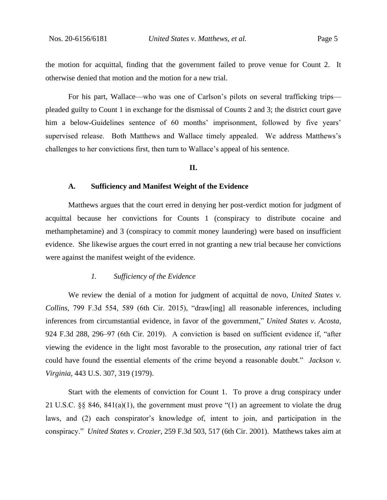the motion for acquittal, finding that the government failed to prove venue for Count 2. It otherwise denied that motion and the motion for a new trial.

For his part, Wallace—who was one of Carlson's pilots on several trafficking trips pleaded guilty to Count 1 in exchange for the dismissal of Counts 2 and 3; the district court gave him a below-Guidelines sentence of 60 months' imprisonment, followed by five years' supervised release. Both Matthews and Wallace timely appealed. We address Matthews's challenges to her convictions first, then turn to Wallace's appeal of his sentence.

## **II.**

#### **A. Sufficiency and Manifest Weight of the Evidence**

Matthews argues that the court erred in denying her post-verdict motion for judgment of acquittal because her convictions for Counts 1 (conspiracy to distribute cocaine and methamphetamine) and 3 (conspiracy to commit money laundering) were based on insufficient evidence. She likewise argues the court erred in not granting a new trial because her convictions were against the manifest weight of the evidence.

## *1. Sufficiency of the Evidence*

We review the denial of a motion for judgment of acquittal de novo, *United States v. Collins*, 799 F.3d 554, 589 (6th Cir. 2015), "draw[ing] all reasonable inferences, including inferences from circumstantial evidence, in favor of the government," *United States v. Acosta*, 924 F.3d 288, 296–97 (6th Cir. 2019). A conviction is based on sufficient evidence if, "after viewing the evidence in the light most favorable to the prosecution, *any* rational trier of fact could have found the essential elements of the crime beyond a reasonable doubt." *Jackson v. Virginia*, 443 U.S. 307, 319 (1979).

Start with the elements of conviction for Count 1. To prove a drug conspiracy under 21 U.S.C. §§ 846, 841(a)(1), the government must prove "(1) an agreement to violate the drug laws, and (2) each conspirator's knowledge of, intent to join, and participation in the conspiracy." *United States v. Crozier*, 259 F.3d 503, 517 (6th Cir. 2001). Matthews takes aim at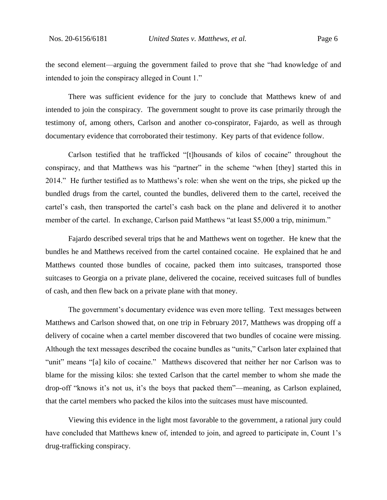the second element—arguing the government failed to prove that she "had knowledge of and intended to join the conspiracy alleged in Count 1."

There was sufficient evidence for the jury to conclude that Matthews knew of and intended to join the conspiracy. The government sought to prove its case primarily through the testimony of, among others, Carlson and another co-conspirator, Fajardo, as well as through documentary evidence that corroborated their testimony. Key parts of that evidence follow.

Carlson testified that he trafficked "[t]housands of kilos of cocaine" throughout the conspiracy, and that Matthews was his "partner" in the scheme "when [they] started this in 2014." He further testified as to Matthews's role: when she went on the trips, she picked up the bundled drugs from the cartel, counted the bundles, delivered them to the cartel, received the cartel's cash, then transported the cartel's cash back on the plane and delivered it to another member of the cartel. In exchange, Carlson paid Matthews "at least \$5,000 a trip, minimum."

Fajardo described several trips that he and Matthews went on together. He knew that the bundles he and Matthews received from the cartel contained cocaine. He explained that he and Matthews counted those bundles of cocaine, packed them into suitcases, transported those suitcases to Georgia on a private plane, delivered the cocaine, received suitcases full of bundles of cash, and then flew back on a private plane with that money.

The government's documentary evidence was even more telling. Text messages between Matthews and Carlson showed that, on one trip in February 2017, Matthews was dropping off a delivery of cocaine when a cartel member discovered that two bundles of cocaine were missing. Although the text messages described the cocaine bundles as "units," Carlson later explained that "unit" means "[a] kilo of cocaine." Matthews discovered that neither her nor Carlson was to blame for the missing kilos: she texted Carlson that the cartel member to whom she made the drop-off "knows it's not us, it's the boys that packed them"—meaning, as Carlson explained, that the cartel members who packed the kilos into the suitcases must have miscounted.

Viewing this evidence in the light most favorable to the government, a rational jury could have concluded that Matthews knew of, intended to join, and agreed to participate in, Count 1's drug-trafficking conspiracy.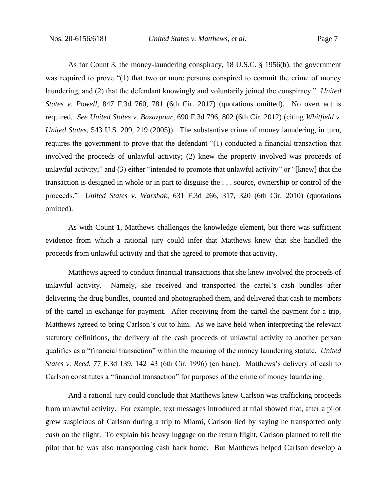As for Count 3, the money-laundering conspiracy, 18 U.S.C. § 1956(h), the government was required to prove "(1) that two or more persons conspired to commit the crime of money laundering, and (2) that the defendant knowingly and voluntarily joined the conspiracy." *United States v. Powell*, 847 F.3d 760, 781 (6th Cir. 2017) (quotations omitted). No overt act is required. *See United States v. Bazazpour*, 690 F.3d 796, 802 (6th Cir. 2012) (citing *Whitfield v. United States*, 543 U.S. 209, 219 (2005)). The substantive crime of money laundering, in turn, requires the government to prove that the defendant "(1) conducted a financial transaction that involved the proceeds of unlawful activity; (2) knew the property involved was proceeds of unlawful activity;" and (3) either "intended to promote that unlawful activity" or "[knew] that the transaction is designed in whole or in part to disguise the . . . source, ownership or control of the proceeds." *United States v. Warshak*, 631 F.3d 266, 317, 320 (6th Cir. 2010) (quotations omitted).

As with Count 1, Matthews challenges the knowledge element, but there was sufficient evidence from which a rational jury could infer that Matthews knew that she handled the proceeds from unlawful activity and that she agreed to promote that activity.

Matthews agreed to conduct financial transactions that she knew involved the proceeds of unlawful activity. Namely, she received and transported the cartel's cash bundles after delivering the drug bundles, counted and photographed them, and delivered that cash to members of the cartel in exchange for payment. After receiving from the cartel the payment for a trip, Matthews agreed to bring Carlson's cut to him. As we have held when interpreting the relevant statutory definitions, the delivery of the cash proceeds of unlawful activity to another person qualifies as a "financial transaction" within the meaning of the money laundering statute. *United States v. Reed*, 77 F.3d 139, 142–43 (6th Cir. 1996) (en banc). Matthews's delivery of cash to Carlson constitutes a "financial transaction" for purposes of the crime of money laundering.

And a rational jury could conclude that Matthews knew Carlson was trafficking proceeds from unlawful activity. For example, text messages introduced at trial showed that, after a pilot grew suspicious of Carlson during a trip to Miami, Carlson lied by saying he transported only *cash* on the flight. To explain his heavy luggage on the return flight, Carlson planned to tell the pilot that he was also transporting cash back home. But Matthews helped Carlson develop a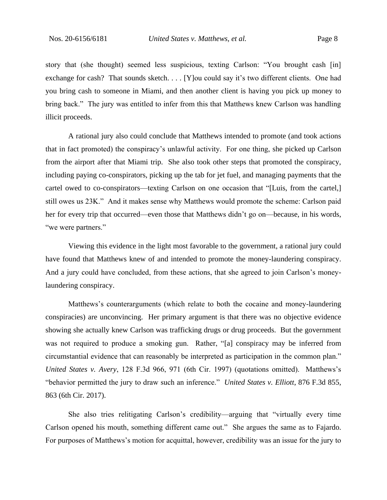story that (she thought) seemed less suspicious, texting Carlson: "You brought cash [in] exchange for cash? That sounds sketch. . . . [Y] ou could say it's two different clients. One had you bring cash to someone in Miami, and then another client is having you pick up money to bring back." The jury was entitled to infer from this that Matthews knew Carlson was handling illicit proceeds.

A rational jury also could conclude that Matthews intended to promote (and took actions that in fact promoted) the conspiracy's unlawful activity. For one thing, she picked up Carlson from the airport after that Miami trip. She also took other steps that promoted the conspiracy, including paying co-conspirators, picking up the tab for jet fuel, and managing payments that the cartel owed to co-conspirators—texting Carlson on one occasion that "[Luis, from the cartel,] still owes us 23K." And it makes sense why Matthews would promote the scheme: Carlson paid her for every trip that occurred—even those that Matthews didn't go on—because, in his words, "we were partners."

Viewing this evidence in the light most favorable to the government, a rational jury could have found that Matthews knew of and intended to promote the money-laundering conspiracy. And a jury could have concluded, from these actions, that she agreed to join Carlson's moneylaundering conspiracy.

Matthews's counterarguments (which relate to both the cocaine and money-laundering conspiracies) are unconvincing. Her primary argument is that there was no objective evidence showing she actually knew Carlson was trafficking drugs or drug proceeds. But the government was not required to produce a smoking gun. Rather, "[a] conspiracy may be inferred from circumstantial evidence that can reasonably be interpreted as participation in the common plan." *United States v. Avery*, 128 F.3d 966, 971 (6th Cir. 1997) (quotations omitted). Matthews's "behavior permitted the jury to draw such an inference." *United States v. Elliott*, 876 F.3d 855, 863 (6th Cir. 2017).

She also tries relitigating Carlson's credibility—arguing that "virtually every time Carlson opened his mouth, something different came out." She argues the same as to Fajardo. For purposes of Matthews's motion for acquittal, however, credibility was an issue for the jury to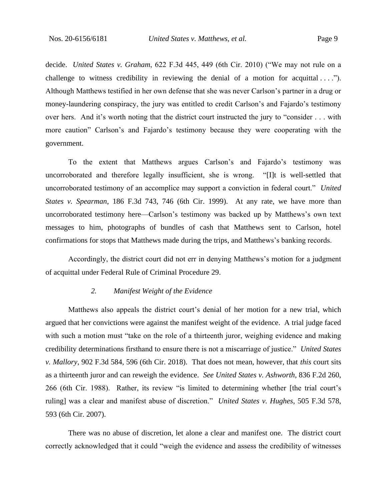decide. *United States v. Graham*, 622 F.3d 445, 449 (6th Cir. 2010) ("We may not rule on a challenge to witness credibility in reviewing the denial of a motion for acquittal  $\dots$ "). Although Matthews testified in her own defense that she was never Carlson's partner in a drug or money-laundering conspiracy, the jury was entitled to credit Carlson's and Fajardo's testimony over hers. And it's worth noting that the district court instructed the jury to "consider . . . with more caution" Carlson's and Fajardo's testimony because they were cooperating with the government.

To the extent that Matthews argues Carlson's and Fajardo's testimony was uncorroborated and therefore legally insufficient, she is wrong. "[I]t is well-settled that uncorroborated testimony of an accomplice may support a conviction in federal court." *United States v. Spearman*, 186 F.3d 743, 746 (6th Cir. 1999). At any rate, we have more than uncorroborated testimony here—Carlson's testimony was backed up by Matthews's own text messages to him, photographs of bundles of cash that Matthews sent to Carlson, hotel confirmations for stops that Matthews made during the trips, and Matthews's banking records.

Accordingly, the district court did not err in denying Matthews's motion for a judgment of acquittal under Federal Rule of Criminal Procedure 29.

#### *2. Manifest Weight of the Evidence*

Matthews also appeals the district court's denial of her motion for a new trial, which argued that her convictions were against the manifest weight of the evidence. A trial judge faced with such a motion must "take on the role of a thirteenth juror, weighing evidence and making credibility determinations firsthand to ensure there is not a miscarriage of justice." *United States v. Mallory*, 902 F.3d 584, 596 (6th Cir. 2018). That does not mean, however, that *this* court sits as a thirteenth juror and can reweigh the evidence. *See United States v. Ashworth*, 836 F.2d 260, 266 (6th Cir. 1988). Rather, its review "is limited to determining whether [the trial court's ruling] was a clear and manifest abuse of discretion." *United States v. Hughes*, 505 F.3d 578, 593 (6th Cir. 2007).

There was no abuse of discretion, let alone a clear and manifest one. The district court correctly acknowledged that it could "weigh the evidence and assess the credibility of witnesses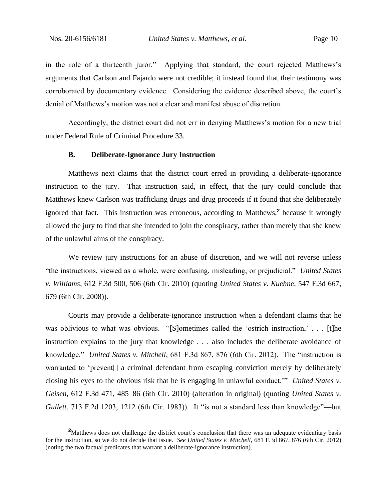in the role of a thirteenth juror." Applying that standard, the court rejected Matthews's arguments that Carlson and Fajardo were not credible; it instead found that their testimony was corroborated by documentary evidence. Considering the evidence described above, the court's denial of Matthews's motion was not a clear and manifest abuse of discretion.

Accordingly, the district court did not err in denying Matthews's motion for a new trial under Federal Rule of Criminal Procedure 33.

#### **B. Deliberate-Ignorance Jury Instruction**

Matthews next claims that the district court erred in providing a deliberate-ignorance instruction to the jury. That instruction said, in effect, that the jury could conclude that Matthews knew Carlson was trafficking drugs and drug proceeds if it found that she deliberately ignored that fact. This instruction was erroneous, according to Matthews,**<sup>2</sup>** because it wrongly allowed the jury to find that she intended to join the conspiracy, rather than merely that she knew of the unlawful aims of the conspiracy.

We review jury instructions for an abuse of discretion, and we will not reverse unless "the instructions, viewed as a whole, were confusing, misleading, or prejudicial." *United States v. Williams*, 612 F.3d 500, 506 (6th Cir. 2010) (quoting *United States v. Kuehne*, 547 F.3d 667, 679 (6th Cir. 2008)).

Courts may provide a deliberate-ignorance instruction when a defendant claims that he was oblivious to what was obvious. "[S]ometimes called the 'ostrich instruction,' . . . [t]he instruction explains to the jury that knowledge . . . also includes the deliberate avoidance of knowledge." *United States v. Mitchell*, 681 F.3d 867, 876 (6th Cir. 2012). The "instruction is warranted to 'prevent[] a criminal defendant from escaping conviction merely by deliberately closing his eyes to the obvious risk that he is engaging in unlawful conduct.'" *United States v. Geisen*, 612 F.3d 471, 485–86 (6th Cir. 2010) (alteration in original) (quoting *United States v. Gullett*, 713 F.2d 1203, 1212 (6th Cir. 1983)). It "is not a standard less than knowledge"—but

<sup>&</sup>lt;sup>2</sup>Matthews does not challenge the district court's conclusion that there was an adequate evidentiary basis for the instruction, so we do not decide that issue. *See United States v. Mitchell*, 681 F.3d 867, 876 (6th Cir. 2012) (noting the two factual predicates that warrant a deliberate-ignorance instruction).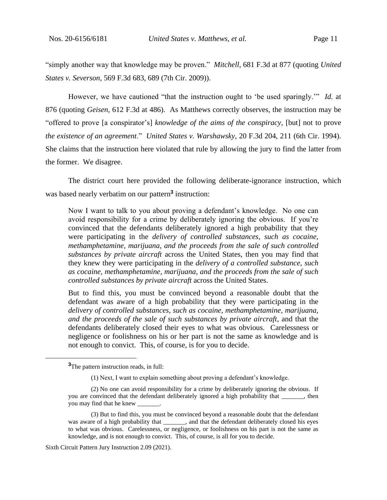"simply another way that knowledge may be proven." *Mitchell*, 681 F.3d at 877 (quoting *United States v. Severson*, 569 F.3d 683, 689 (7th Cir. 2009)).

However, we have cautioned "that the instruction ought to 'be used sparingly.'" *Id.* at 876 (quoting *Geisen*, 612 F.3d at 486). As Matthews correctly observes, the instruction may be "offered to prove [a conspirator's] *knowledge of the aims of the conspiracy*, [but] not to prove *the existence of an agreement*." *United States v. Warshawsky*, 20 F.3d 204, 211 (6th Cir. 1994). She claims that the instruction here violated that rule by allowing the jury to find the latter from the former. We disagree.

The district court here provided the following deliberate-ignorance instruction, which was based nearly verbatim on our pattern**<sup>3</sup>** instruction:

Now I want to talk to you about proving a defendant's knowledge. No one can avoid responsibility for a crime by deliberately ignoring the obvious. If you're convinced that the defendants deliberately ignored a high probability that they were participating in the *delivery of controlled substances, such as cocaine, methamphetamine, marijuana, and the proceeds from the sale of such controlled substances by private aircraft* across the United States, then you may find that they knew they were participating in the *delivery of a controlled substance, such as cocaine, methamphetamine, marijuana, and the proceeds from the sale of such controlled substances by private aircraft* across the United States.

But to find this, you must be convinced beyond a reasonable doubt that the defendant was aware of a high probability that they were participating in the *delivery of controlled substances, such as cocaine, methamphetamine, marijuana, and the proceeds of the sale of such substances by private aircraft*, and that the defendants deliberately closed their eyes to what was obvious. Carelessness or negligence or foolishness on his or her part is not the same as knowledge and is not enough to convict. This, of course, is for you to decide.

**<sup>3</sup>**The pattern instruction reads, in full:

<sup>(1)</sup> Next, I want to explain something about proving a defendant's knowledge.

<sup>(2)</sup> No one can avoid responsibility for a crime by deliberately ignoring the obvious. If you are convinced that the defendant deliberately ignored a high probability that \_\_\_\_\_\_\_, then you may find that he knew

<sup>(3)</sup> But to find this, you must be convinced beyond a reasonable doubt that the defendant was aware of a high probability that \_\_\_\_\_\_\_, and that the defendant deliberately closed his eyes to what was obvious. Carelessness, or negligence, or foolishness on his part is not the same as knowledge, and is not enough to convict. This, of course, is all for you to decide.

Sixth Circuit Pattern Jury Instruction 2.09 (2021).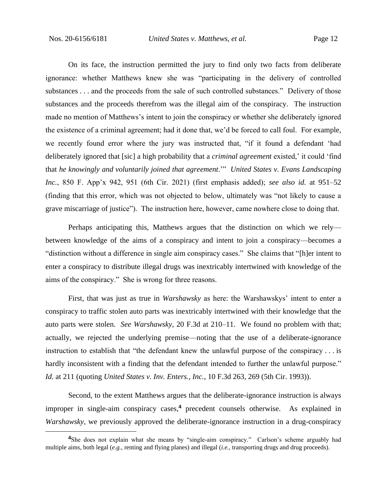On its face, the instruction permitted the jury to find only two facts from deliberate ignorance: whether Matthews knew she was "participating in the delivery of controlled substances . . . and the proceeds from the sale of such controlled substances." Delivery of those substances and the proceeds therefrom was the illegal aim of the conspiracy. The instruction made no mention of Matthews's intent to join the conspiracy or whether she deliberately ignored the existence of a criminal agreement; had it done that, we'd be forced to call foul. For example, we recently found error where the jury was instructed that, "if it found a defendant 'had deliberately ignored that [sic] a high probability that a *criminal agreement* existed,' it could 'find that *he knowingly and voluntarily joined that agreement*.'" *United States v. Evans Landscaping Inc.*, 850 F. App'x 942, 951 (6th Cir. 2021) (first emphasis added); *see also id.* at 951–52 (finding that this error, which was not objected to below, ultimately was "not likely to cause a grave miscarriage of justice"). The instruction here, however, came nowhere close to doing that.

Perhaps anticipating this, Matthews argues that the distinction on which we rely between knowledge of the aims of a conspiracy and intent to join a conspiracy—becomes a "distinction without a difference in single aim conspiracy cases." She claims that "[h]er intent to enter a conspiracy to distribute illegal drugs was inextricably intertwined with knowledge of the aims of the conspiracy." She is wrong for three reasons.

First, that was just as true in *Warshawsky* as here: the Warshawskys' intent to enter a conspiracy to traffic stolen auto parts was inextricably intertwined with their knowledge that the auto parts were stolen. *See Warshawsky*, 20 F.3d at 210–11. We found no problem with that; actually, we rejected the underlying premise—noting that the use of a deliberate-ignorance instruction to establish that "the defendant knew the unlawful purpose of the conspiracy . . . is hardly inconsistent with a finding that the defendant intended to further the unlawful purpose." *Id.* at 211 (quoting *United States v. Inv. Enters., Inc.*, 10 F.3d 263, 269 (5th Cir. 1993)).

Second, to the extent Matthews argues that the deliberate-ignorance instruction is always improper in single-aim conspiracy cases,**<sup>4</sup>** precedent counsels otherwise. As explained in *Warshawsky*, we previously approved the deliberate-ignorance instruction in a drug-conspiracy

<sup>&</sup>lt;sup>4</sup>She does not explain what she means by "single-aim conspiracy." Carlson's scheme arguably had multiple aims, both legal (*e.g.*, renting and flying planes) and illegal (*i.e.*, transporting drugs and drug proceeds).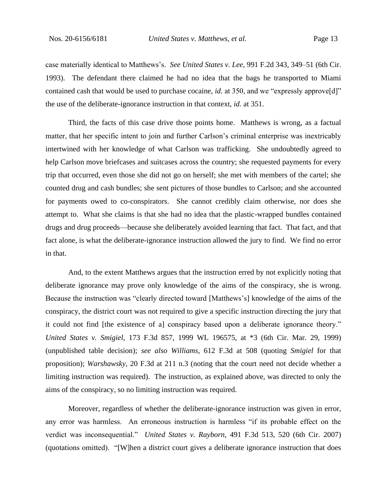case materially identical to Matthews's. *See United States v. Lee*, 991 F.2d 343, 349–51 (6th Cir. 1993). The defendant there claimed he had no idea that the bags he transported to Miami contained cash that would be used to purchase cocaine, *id.* at 350, and we "expressly approve[d]" the use of the deliberate-ignorance instruction in that context, *id.* at 351.

Third, the facts of this case drive those points home. Matthews is wrong, as a factual matter, that her specific intent to join and further Carlson's criminal enterprise was inextricably intertwined with her knowledge of what Carlson was trafficking. She undoubtedly agreed to help Carlson move briefcases and suitcases across the country; she requested payments for every trip that occurred, even those she did not go on herself; she met with members of the cartel; she counted drug and cash bundles; she sent pictures of those bundles to Carlson; and she accounted for payments owed to co-conspirators. She cannot credibly claim otherwise, nor does she attempt to. What she claims is that she had no idea that the plastic-wrapped bundles contained drugs and drug proceeds—because she deliberately avoided learning that fact. That fact, and that fact alone, is what the deliberate-ignorance instruction allowed the jury to find. We find no error in that.

And, to the extent Matthews argues that the instruction erred by not explicitly noting that deliberate ignorance may prove only knowledge of the aims of the conspiracy, she is wrong. Because the instruction was "clearly directed toward [Matthews's] knowledge of the aims of the conspiracy, the district court was not required to give a specific instruction directing the jury that it could not find [the existence of a] conspiracy based upon a deliberate ignorance theory." *United States v. Smigiel*, 173 F.3d 857, 1999 WL 196575, at \*3 (6th Cir. Mar. 29, 1999) (unpublished table decision); *see also Williams*, 612 F.3d at 508 (quoting *Smigiel* for that proposition); *Warshawsky*, 20 F.3d at 211 n.3 (noting that the court need not decide whether a limiting instruction was required). The instruction, as explained above, was directed to only the aims of the conspiracy, so no limiting instruction was required.

Moreover, regardless of whether the deliberate-ignorance instruction was given in error, any error was harmless. An erroneous instruction is harmless "if its probable effect on the verdict was inconsequential." *United States v. Rayborn*, 491 F.3d 513, 520 (6th Cir. 2007) (quotations omitted). "[W]hen a district court gives a deliberate ignorance instruction that does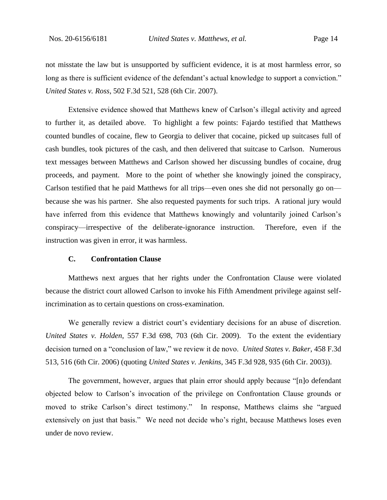not misstate the law but is unsupported by sufficient evidence, it is at most harmless error, so long as there is sufficient evidence of the defendant's actual knowledge to support a conviction." *United States v. Ross*, 502 F.3d 521, 528 (6th Cir. 2007).

Extensive evidence showed that Matthews knew of Carlson's illegal activity and agreed to further it, as detailed above. To highlight a few points: Fajardo testified that Matthews counted bundles of cocaine, flew to Georgia to deliver that cocaine, picked up suitcases full of cash bundles, took pictures of the cash, and then delivered that suitcase to Carlson. Numerous text messages between Matthews and Carlson showed her discussing bundles of cocaine, drug proceeds, and payment. More to the point of whether she knowingly joined the conspiracy, Carlson testified that he paid Matthews for all trips—even ones she did not personally go on because she was his partner. She also requested payments for such trips. A rational jury would have inferred from this evidence that Matthews knowingly and voluntarily joined Carlson's conspiracy—irrespective of the deliberate-ignorance instruction. Therefore, even if the instruction was given in error, it was harmless.

## **C. Confrontation Clause**

Matthews next argues that her rights under the Confrontation Clause were violated because the district court allowed Carlson to invoke his Fifth Amendment privilege against selfincrimination as to certain questions on cross-examination.

We generally review a district court's evidentiary decisions for an abuse of discretion. *United States v. Holden*, 557 F.3d 698, 703 (6th Cir. 2009). To the extent the evidentiary decision turned on a "conclusion of law," we review it de novo. *United States v. Baker*, 458 F.3d 513, 516 (6th Cir. 2006) (quoting *United States v. Jenkins*, 345 F.3d 928, 935 (6th Cir. 2003)).

The government, however, argues that plain error should apply because "[n]o defendant objected below to Carlson's invocation of the privilege on Confrontation Clause grounds or moved to strike Carlson's direct testimony." In response, Matthews claims she "argued extensively on just that basis." We need not decide who's right, because Matthews loses even under de novo review.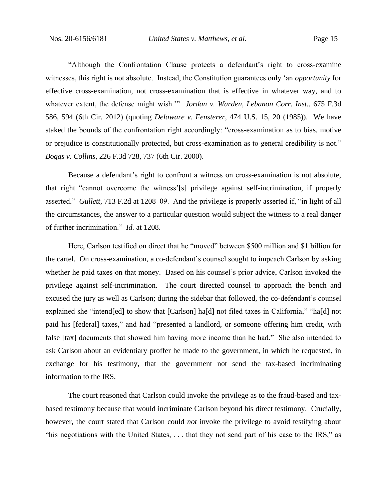"Although the Confrontation Clause protects a defendant's right to cross-examine witnesses, this right is not absolute. Instead, the Constitution guarantees only 'an *opportunity* for effective cross-examination, not cross-examination that is effective in whatever way, and to whatever extent, the defense might wish.'" *Jordan v. Warden, Lebanon Corr. Inst.*, 675 F.3d 586, 594 (6th Cir. 2012) (quoting *Delaware v. Fensterer*, 474 U.S. 15, 20 (1985)). We have staked the bounds of the confrontation right accordingly: "cross-examination as to bias, motive or prejudice is constitutionally protected, but cross-examination as to general credibility is not." *Boggs v. Collins*, 226 F.3d 728, 737 (6th Cir. 2000).

Because a defendant's right to confront a witness on cross-examination is not absolute, that right "cannot overcome the witness'[s] privilege against self-incrimination, if properly asserted." *Gullett*, 713 F.2d at 1208–09. And the privilege is properly asserted if, "in light of all the circumstances, the answer to a particular question would subject the witness to a real danger of further incrimination." *Id.* at 1208.

Here, Carlson testified on direct that he "moved" between \$500 million and \$1 billion for the cartel. On cross-examination, a co-defendant's counsel sought to impeach Carlson by asking whether he paid taxes on that money. Based on his counsel's prior advice, Carlson invoked the privilege against self-incrimination. The court directed counsel to approach the bench and excused the jury as well as Carlson; during the sidebar that followed, the co-defendant's counsel explained she "intend[ed] to show that [Carlson] ha[d] not filed taxes in California," "ha[d] not paid his [federal] taxes," and had "presented a landlord, or someone offering him credit, with false [tax] documents that showed him having more income than he had." She also intended to ask Carlson about an evidentiary proffer he made to the government, in which he requested, in exchange for his testimony, that the government not send the tax-based incriminating information to the IRS.

The court reasoned that Carlson could invoke the privilege as to the fraud-based and taxbased testimony because that would incriminate Carlson beyond his direct testimony. Crucially, however, the court stated that Carlson could *not* invoke the privilege to avoid testifying about "his negotiations with the United States, . . . that they not send part of his case to the IRS," as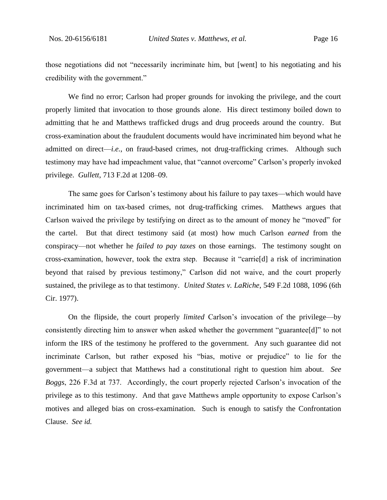those negotiations did not "necessarily incriminate him, but [went] to his negotiating and his credibility with the government."

We find no error; Carlson had proper grounds for invoking the privilege, and the court properly limited that invocation to those grounds alone. His direct testimony boiled down to admitting that he and Matthews trafficked drugs and drug proceeds around the country. But cross-examination about the fraudulent documents would have incriminated him beyond what he admitted on direct—*i.e.*, on fraud-based crimes, not drug-trafficking crimes. Although such testimony may have had impeachment value, that "cannot overcome" Carlson's properly invoked privilege. *Gullett*, 713 F.2d at 1208–09.

The same goes for Carlson's testimony about his failure to pay taxes—which would have incriminated him on tax-based crimes, not drug-trafficking crimes. Matthews argues that Carlson waived the privilege by testifying on direct as to the amount of money he "moved" for the cartel. But that direct testimony said (at most) how much Carlson *earned* from the conspiracy—not whether he *failed to pay taxes* on those earnings. The testimony sought on cross-examination, however, took the extra step. Because it "carrie[d] a risk of incrimination beyond that raised by previous testimony," Carlson did not waive, and the court properly sustained, the privilege as to that testimony. *United States v. LaRiche*, 549 F.2d 1088, 1096 (6th Cir. 1977).

On the flipside, the court properly *limited* Carlson's invocation of the privilege—by consistently directing him to answer when asked whether the government "guarantee[d]" to not inform the IRS of the testimony he proffered to the government. Any such guarantee did not incriminate Carlson, but rather exposed his "bias, motive or prejudice" to lie for the government—a subject that Matthews had a constitutional right to question him about. *See Boggs*, 226 F.3d at 737. Accordingly, the court properly rejected Carlson's invocation of the privilege as to this testimony. And that gave Matthews ample opportunity to expose Carlson's motives and alleged bias on cross-examination. Such is enough to satisfy the Confrontation Clause. *See id.*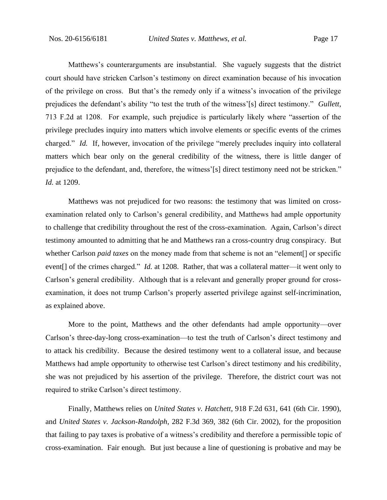Matthews's counterarguments are insubstantial. She vaguely suggests that the district court should have stricken Carlson's testimony on direct examination because of his invocation of the privilege on cross. But that's the remedy only if a witness's invocation of the privilege prejudices the defendant's ability "to test the truth of the witness'[s] direct testimony." *Gullett*, 713 F.2d at 1208. For example, such prejudice is particularly likely where "assertion of the privilege precludes inquiry into matters which involve elements or specific events of the crimes charged." *Id.* If, however, invocation of the privilege "merely precludes inquiry into collateral matters which bear only on the general credibility of the witness, there is little danger of prejudice to the defendant, and, therefore, the witness'[s] direct testimony need not be stricken." *Id.* at 1209.

Matthews was not prejudiced for two reasons: the testimony that was limited on crossexamination related only to Carlson's general credibility, and Matthews had ample opportunity to challenge that credibility throughout the rest of the cross-examination. Again, Carlson's direct testimony amounted to admitting that he and Matthews ran a cross-country drug conspiracy. But whether Carlson *paid taxes* on the money made from that scheme is not an "element[] or specific event[] of the crimes charged." *Id.* at 1208. Rather, that was a collateral matter—it went only to Carlson's general credibility. Although that is a relevant and generally proper ground for crossexamination, it does not trump Carlson's properly asserted privilege against self-incrimination, as explained above.

More to the point, Matthews and the other defendants had ample opportunity—over Carlson's three-day-long cross-examination—to test the truth of Carlson's direct testimony and to attack his credibility. Because the desired testimony went to a collateral issue, and because Matthews had ample opportunity to otherwise test Carlson's direct testimony and his credibility, she was not prejudiced by his assertion of the privilege. Therefore, the district court was not required to strike Carlson's direct testimony.

Finally, Matthews relies on *United States v. Hatchett*, 918 F.2d 631, 641 (6th Cir. 1990), and *United States v. Jackson-Randolph*, 282 F.3d 369, 382 (6th Cir. 2002), for the proposition that failing to pay taxes is probative of a witness's credibility and therefore a permissible topic of cross-examination. Fair enough. But just because a line of questioning is probative and may be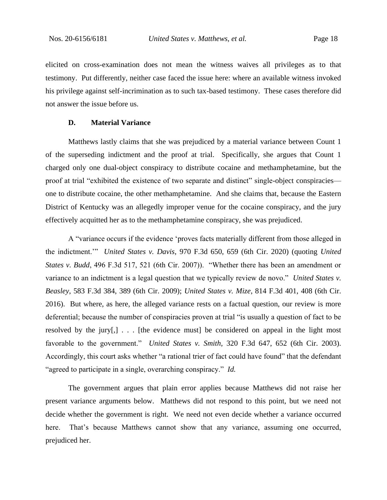elicited on cross-examination does not mean the witness waives all privileges as to that testimony. Put differently, neither case faced the issue here: where an available witness invoked his privilege against self-incrimination as to such tax-based testimony. These cases therefore did not answer the issue before us.

#### **D. Material Variance**

Matthews lastly claims that she was prejudiced by a material variance between Count 1 of the superseding indictment and the proof at trial. Specifically, she argues that Count 1 charged only one dual-object conspiracy to distribute cocaine and methamphetamine, but the proof at trial "exhibited the existence of two separate and distinct" single-object conspiracies one to distribute cocaine, the other methamphetamine. And she claims that, because the Eastern District of Kentucky was an allegedly improper venue for the cocaine conspiracy, and the jury effectively acquitted her as to the methamphetamine conspiracy, she was prejudiced.

A "variance occurs if the evidence 'proves facts materially different from those alleged in the indictment.'" *United States v. Davis*, 970 F.3d 650, 659 (6th Cir. 2020) (quoting *United States v. Budd*, 496 F.3d 517, 521 (6th Cir. 2007)). "Whether there has been an amendment or variance to an indictment is a legal question that we typically review de novo." *United States v. Beasley*, 583 F.3d 384, 389 (6th Cir. 2009); *United States v. Mize*, 814 F.3d 401, 408 (6th Cir. 2016). But where, as here, the alleged variance rests on a factual question, our review is more deferential; because the number of conspiracies proven at trial "is usually a question of fact to be resolved by the jury[,] . . . [the evidence must] be considered on appeal in the light most favorable to the government." *United States v. Smith*, 320 F.3d 647, 652 (6th Cir. 2003). Accordingly, this court asks whether "a rational trier of fact could have found" that the defendant "agreed to participate in a single, overarching conspiracy." *Id.*

The government argues that plain error applies because Matthews did not raise her present variance arguments below. Matthews did not respond to this point, but we need not decide whether the government is right. We need not even decide whether a variance occurred here. That's because Matthews cannot show that any variance, assuming one occurred, prejudiced her.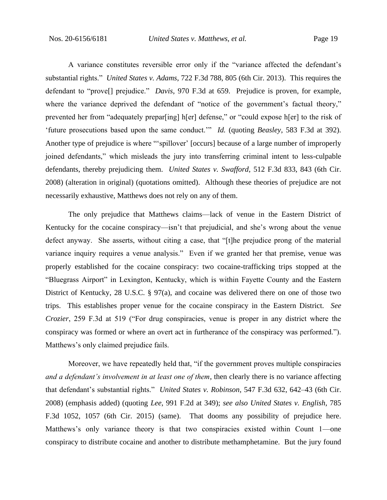A variance constitutes reversible error only if the "variance affected the defendant's substantial rights." *United States v. Adams*, 722 F.3d 788, 805 (6th Cir. 2013). This requires the defendant to "prove[] prejudice." *Davis*, 970 F.3d at 659. Prejudice is proven, for example, where the variance deprived the defendant of "notice of the government's factual theory," prevented her from "adequately prepar[ing] h[er] defense," or "could expose h[er] to the risk of 'future prosecutions based upon the same conduct.'" *Id.* (quoting *Beasley*, 583 F.3d at 392). Another type of prejudice is where "'spillover' [occurs] because of a large number of improperly joined defendants," which misleads the jury into transferring criminal intent to less-culpable defendants, thereby prejudicing them. *United States v. Swafford*, 512 F.3d 833, 843 (6th Cir. 2008) (alteration in original) (quotations omitted). Although these theories of prejudice are not necessarily exhaustive, Matthews does not rely on any of them.

The only prejudice that Matthews claims—lack of venue in the Eastern District of Kentucky for the cocaine conspiracy—isn't that prejudicial, and she's wrong about the venue defect anyway. She asserts, without citing a case, that "[t]he prejudice prong of the material variance inquiry requires a venue analysis." Even if we granted her that premise, venue was properly established for the cocaine conspiracy: two cocaine-trafficking trips stopped at the "Bluegrass Airport" in Lexington, Kentucky, which is within Fayette County and the Eastern District of Kentucky, 28 U.S.C. § 97(a), and cocaine was delivered there on one of those two trips. This establishes proper venue for the cocaine conspiracy in the Eastern District. *See Crozier*, 259 F.3d at 519 ("For drug conspiracies, venue is proper in any district where the conspiracy was formed or where an overt act in furtherance of the conspiracy was performed."). Matthews's only claimed prejudice fails.

Moreover, we have repeatedly held that, "if the government proves multiple conspiracies *and a defendant's involvement in at least one of them*, then clearly there is no variance affecting that defendant's substantial rights." *United States v. Robinson*, 547 F.3d 632, 642–43 (6th Cir. 2008) (emphasis added) (quoting *Lee*, 991 F.2d at 349); *see also United States v. English*, 785 F.3d 1052, 1057 (6th Cir. 2015) (same). That dooms any possibility of prejudice here. Matthews's only variance theory is that two conspiracies existed within Count 1—one conspiracy to distribute cocaine and another to distribute methamphetamine. But the jury found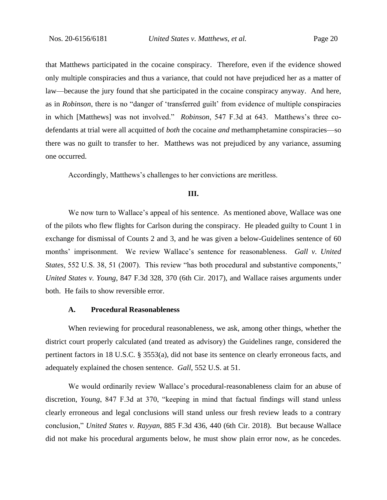that Matthews participated in the cocaine conspiracy. Therefore, even if the evidence showed only multiple conspiracies and thus a variance, that could not have prejudiced her as a matter of law—because the jury found that she participated in the cocaine conspiracy anyway. And here, as in *Robinson*, there is no "danger of 'transferred guilt' from evidence of multiple conspiracies in which [Matthews] was not involved." *Robinson*, 547 F.3d at 643. Matthews's three codefendants at trial were all acquitted of *both* the cocaine *and* methamphetamine conspiracies—so there was no guilt to transfer to her. Matthews was not prejudiced by any variance, assuming one occurred.

Accordingly, Matthews's challenges to her convictions are meritless.

#### **III.**

We now turn to Wallace's appeal of his sentence. As mentioned above, Wallace was one of the pilots who flew flights for Carlson during the conspiracy. He pleaded guilty to Count 1 in exchange for dismissal of Counts 2 and 3, and he was given a below-Guidelines sentence of 60 months' imprisonment. We review Wallace's sentence for reasonableness. *Gall v. United States*, 552 U.S. 38, 51 (2007). This review "has both procedural and substantive components," *United States v. Young*, 847 F.3d 328, 370 (6th Cir. 2017), and Wallace raises arguments under both. He fails to show reversible error.

## **A. Procedural Reasonableness**

When reviewing for procedural reasonableness, we ask, among other things, whether the district court properly calculated (and treated as advisory) the Guidelines range, considered the pertinent factors in 18 U.S.C. § 3553(a), did not base its sentence on clearly erroneous facts, and adequately explained the chosen sentence. *Gall*, 552 U.S. at 51.

We would ordinarily review Wallace's procedural-reasonableness claim for an abuse of discretion, *Young*, 847 F.3d at 370, "keeping in mind that factual findings will stand unless clearly erroneous and legal conclusions will stand unless our fresh review leads to a contrary conclusion," *United States v. Rayyan*, 885 F.3d 436, 440 (6th Cir. 2018). But because Wallace did not make his procedural arguments below, he must show plain error now, as he concedes.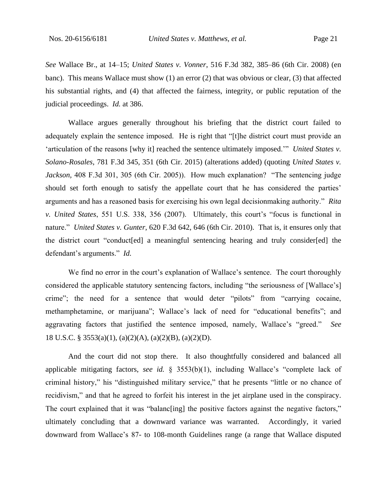*See* Wallace Br., at 14–15; *United States v. Vonner*, 516 F.3d 382, 385–86 (6th Cir. 2008) (en banc). This means Wallace must show (1) an error (2) that was obvious or clear, (3) that affected his substantial rights, and (4) that affected the fairness, integrity, or public reputation of the judicial proceedings. *Id.* at 386.

Wallace argues generally throughout his briefing that the district court failed to adequately explain the sentence imposed. He is right that "[t]he district court must provide an 'articulation of the reasons [why it] reached the sentence ultimately imposed.'" *United States v. Solano-Rosales*, 781 F.3d 345, 351 (6th Cir. 2015) (alterations added) (quoting *United States v. Jackson,* 408 F.3d 301, 305 (6th Cir. 2005)). How much explanation? "The sentencing judge should set forth enough to satisfy the appellate court that he has considered the parties' arguments and has a reasoned basis for exercising his own legal decisionmaking authority." *Rita v. United States*, 551 U.S. 338, 356 (2007). Ultimately, this court's "focus is functional in nature." *United States v. Gunter*, 620 F.3d 642, 646 (6th Cir. 2010). That is, it ensures only that the district court "conduct[ed] a meaningful sentencing hearing and truly consider[ed] the defendant's arguments." *Id.*

We find no error in the court's explanation of Wallace's sentence. The court thoroughly considered the applicable statutory sentencing factors, including "the seriousness of [Wallace's] crime"; the need for a sentence that would deter "pilots" from "carrying cocaine, methamphetamine, or marijuana"; Wallace's lack of need for "educational benefits"; and aggravating factors that justified the sentence imposed, namely, Wallace's "greed." *See*  18 U.S.C. § 3553(a)(1), (a)(2)(A), (a)(2)(B), (a)(2)(D).

And the court did not stop there. It also thoughtfully considered and balanced all applicable mitigating factors, *see id.* § 3553(b)(1), including Wallace's "complete lack of criminal history," his "distinguished military service," that he presents "little or no chance of recidivism," and that he agreed to forfeit his interest in the jet airplane used in the conspiracy. The court explained that it was "balanc[ing] the positive factors against the negative factors," ultimately concluding that a downward variance was warranted. Accordingly, it varied downward from Wallace's 87- to 108-month Guidelines range (a range that Wallace disputed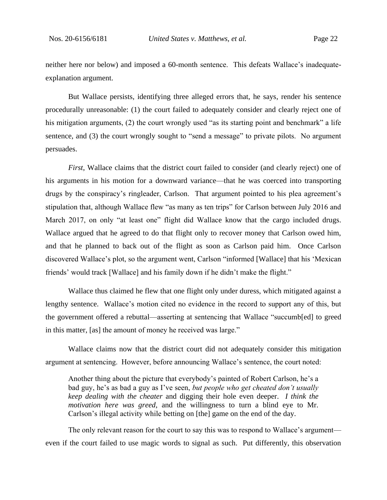neither here nor below) and imposed a 60-month sentence. This defeats Wallace's inadequateexplanation argument.

But Wallace persists, identifying three alleged errors that, he says, render his sentence procedurally unreasonable: (1) the court failed to adequately consider and clearly reject one of his mitigation arguments, (2) the court wrongly used "as its starting point and benchmark" a life sentence, and (3) the court wrongly sought to "send a message" to private pilots. No argument persuades.

*First*, Wallace claims that the district court failed to consider (and clearly reject) one of his arguments in his motion for a downward variance—that he was coerced into transporting drugs by the conspiracy's ringleader, Carlson. That argument pointed to his plea agreement's stipulation that, although Wallace flew "as many as ten trips" for Carlson between July 2016 and March 2017, on only "at least one" flight did Wallace know that the cargo included drugs. Wallace argued that he agreed to do that flight only to recover money that Carlson owed him, and that he planned to back out of the flight as soon as Carlson paid him. Once Carlson discovered Wallace's plot, so the argument went, Carlson "informed [Wallace] that his 'Mexican friends' would track [Wallace] and his family down if he didn't make the flight."

Wallace thus claimed he flew that one flight only under duress, which mitigated against a lengthy sentence. Wallace's motion cited no evidence in the record to support any of this, but the government offered a rebuttal—asserting at sentencing that Wallace "succumb[ed] to greed in this matter, [as] the amount of money he received was large."

Wallace claims now that the district court did not adequately consider this mitigation argument at sentencing. However, before announcing Wallace's sentence, the court noted:

Another thing about the picture that everybody's painted of Robert Carlson, he's a bad guy, he's as bad a guy as I've seen, *but people who get cheated don't usually keep dealing with the cheater* and digging their hole even deeper. *I think the motivation here was greed*, and the willingness to turn a blind eye to Mr. Carlson's illegal activity while betting on [the] game on the end of the day.

The only relevant reason for the court to say this was to respond to Wallace's argument even if the court failed to use magic words to signal as such. Put differently, this observation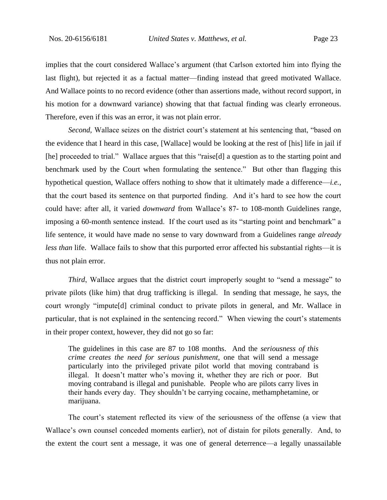implies that the court considered Wallace's argument (that Carlson extorted him into flying the last flight), but rejected it as a factual matter—finding instead that greed motivated Wallace. And Wallace points to no record evidence (other than assertions made, without record support, in his motion for a downward variance) showing that that factual finding was clearly erroneous. Therefore, even if this was an error, it was not plain error.

*Second*, Wallace seizes on the district court's statement at his sentencing that, "based on the evidence that I heard in this case, [Wallace] would be looking at the rest of [his] life in jail if [he] proceeded to trial." Wallace argues that this "raise[d] a question as to the starting point and benchmark used by the Court when formulating the sentence." But other than flagging this hypothetical question, Wallace offers nothing to show that it ultimately made a difference—*i.e.*, that the court based its sentence on that purported finding. And it's hard to see how the court could have: after all, it varied *downward* from Wallace's 87- to 108-month Guidelines range, imposing a 60-month sentence instead. If the court used as its "starting point and benchmark" a life sentence, it would have made no sense to vary downward from a Guidelines range *already less than* life. Wallace fails to show that this purported error affected his substantial rights—it is thus not plain error.

*Third*, Wallace argues that the district court improperly sought to "send a message" to private pilots (like him) that drug trafficking is illegal. In sending that message, he says, the court wrongly "impute[d] criminal conduct to private pilots in general, and Mr. Wallace in particular, that is not explained in the sentencing record." When viewing the court's statements in their proper context, however, they did not go so far:

The guidelines in this case are 87 to 108 months. And the *seriousness of this crime creates the need for serious punishment*, one that will send a message particularly into the privileged private pilot world that moving contraband is illegal. It doesn't matter who's moving it, whether they are rich or poor. But moving contraband is illegal and punishable. People who are pilots carry lives in their hands every day. They shouldn't be carrying cocaine, methamphetamine, or marijuana.

The court's statement reflected its view of the seriousness of the offense (a view that Wallace's own counsel conceded moments earlier), not of distain for pilots generally. And, to the extent the court sent a message, it was one of general deterrence—a legally unassailable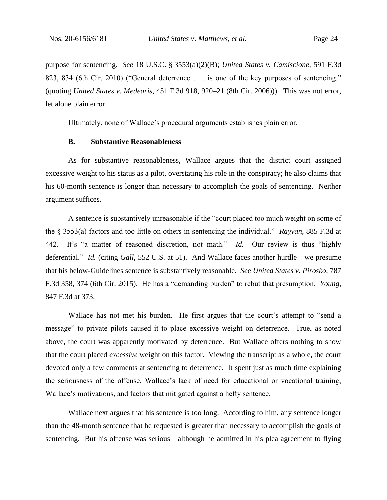purpose for sentencing. *See* 18 U.S.C. § 3553(a)(2)(B); *United States v. Camiscione*, 591 F.3d 823, 834 (6th Cir. 2010) ("General deterrence . . . is one of the key purposes of sentencing." (quoting *United States v. Medearis*, 451 F.3d 918, 920–21 (8th Cir. 2006))). This was not error, let alone plain error.

Ultimately, none of Wallace's procedural arguments establishes plain error.

#### **B. Substantive Reasonableness**

As for substantive reasonableness, Wallace argues that the district court assigned excessive weight to his status as a pilot, overstating his role in the conspiracy; he also claims that his 60-month sentence is longer than necessary to accomplish the goals of sentencing. Neither argument suffices.

A sentence is substantively unreasonable if the "court placed too much weight on some of the § 3553(a) factors and too little on others in sentencing the individual." *Rayyan*, 885 F.3d at 442. It's "a matter of reasoned discretion, not math." *Id.* Our review is thus "highly deferential." *Id.* (citing *Gall*, 552 U.S. at 51). And Wallace faces another hurdle—we presume that his below-Guidelines sentence is substantively reasonable. *See United States v. Pirosko*, 787 F.3d 358, 374 (6th Cir. 2015). He has a "demanding burden" to rebut that presumption. *Young*, 847 F.3d at 373.

Wallace has not met his burden. He first argues that the court's attempt to "send a message" to private pilots caused it to place excessive weight on deterrence. True, as noted above, the court was apparently motivated by deterrence. But Wallace offers nothing to show that the court placed *excessive* weight on this factor. Viewing the transcript as a whole, the court devoted only a few comments at sentencing to deterrence. It spent just as much time explaining the seriousness of the offense, Wallace's lack of need for educational or vocational training, Wallace's motivations, and factors that mitigated against a hefty sentence.

Wallace next argues that his sentence is too long. According to him, any sentence longer than the 48-month sentence that he requested is greater than necessary to accomplish the goals of sentencing. But his offense was serious—although he admitted in his plea agreement to flying